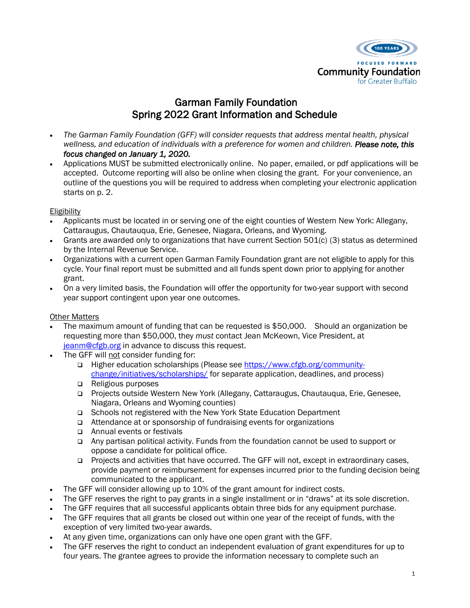

# Garman Family Foundation Spring 2022 Grant Information and Schedule

- *The Garman Family Foundation (GFF) will consider requests that address mental health, physical wellness, and education of individuals with a preference for women and children. Please note, this focus changed on January 1, 2020.*
- Applications MUST be submitted electronically online. No paper, emailed, or pdf applications will be accepted. Outcome reporting will also be online when closing the grant. For your convenience, an outline of the questions you will be required to address when completing your electronic application starts on p. 2.

#### Eligibility

- Applicants must be located in or serving one of the eight counties of Western New York: Allegany, Cattaraugus, Chautauqua, Erie, Genesee, Niagara, Orleans, and Wyoming.
- Grants are awarded only to organizations that have current Section 501(c) (3) status as determined by the Internal Revenue Service.
- Organizations with a current open Garman Family Foundation grant are not eligible to apply for this cycle. Your final report must be submitted and all funds spent down prior to applying for another grant.
- On a very limited basis, the Foundation will offer the opportunity for two-year support with second year support contingent upon year one outcomes.

#### Other Matters

- The maximum amount of funding that can be requested is \$50,000. Should an organization be requesting more than \$50,000, they *must* contact Jean McKeown, Vice President, at [jeanm@cfgb.org](mailto:jeanm@cfgb.org) in advance to discuss this request.
- The GFF will not consider funding for:
	- ❑ Higher education scholarships (Please see [https://www.cfgb.org/community](https://www.cfgb.org/community-change/initiatives/scholarships/)[change/initiatives/scholarships/](https://www.cfgb.org/community-change/initiatives/scholarships/) for separate application, deadlines, and process)
	- ❑ Religious purposes
	- ❑ Projects outside Western New York (Allegany, Cattaraugus, Chautauqua, Erie, Genesee, Niagara, Orleans and Wyoming counties)
	- ❑ Schools not registered with the New York State Education Department
	- ❑ Attendance at or sponsorship of fundraising events for organizations
	- ❑ Annual events or festivals
	- ❑ Any partisan political activity. Funds from the foundation cannot be used to support or oppose a candidate for political office.
	- ❑ Projects and activities that have occurred. The GFF will not, except in extraordinary cases, provide payment or reimbursement for expenses incurred prior to the funding decision being communicated to the applicant.
- The GFF will consider allowing up to 10% of the grant amount for indirect costs.
- The GFF reserves the right to pay grants in a single installment or in "draws" at its sole discretion.
- The GFF requires that all successful applicants obtain three bids for any equipment purchase.
- The GFF requires that all grants be closed out within one year of the receipt of funds, with the exception of very limited two-year awards.
- At any given time, organizations can only have one open grant with the GFF.
- The GFF reserves the right to conduct an independent evaluation of grant expenditures for up to four years. The grantee agrees to provide the information necessary to complete such an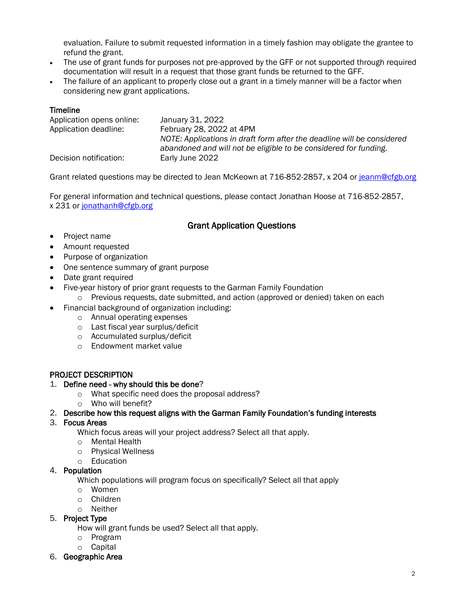evaluation. Failure to submit requested information in a timely fashion may obligate the grantee to refund the grant.

- The use of grant funds for purposes not pre-approved by the GFF or not supported through required documentation will result in a request that those grant funds be returned to the GFF.
- The failure of an applicant to properly close out a grant in a timely manner will be a factor when considering new grant applications.

#### **Timeline**

| Application opens online: | January 31, 2022                                                                                                                           |
|---------------------------|--------------------------------------------------------------------------------------------------------------------------------------------|
| Application deadline:     | February 28, 2022 at 4PM                                                                                                                   |
|                           | NOTE: Applications in draft form after the deadline will be considered<br>abandoned and will not be eligible to be considered for funding. |
| Decision notification:    | Early June 2022                                                                                                                            |

Grant related questions may be directed to Jean McKeown at 716-852-2857, x 204 or [jeanm@cfgb.org](mailto:jeanm@cfgb.org)

For general information and technical questions, please contact Jonathan Hoose at 716-852-2857, x 231 or [jonathanh@cfgb.org](mailto:linb@cfgb.org)

# Grant Application Questions

- Project name
- Amount requested
- Purpose of organization
- One sentence summary of grant purpose
- Date grant required
- Five-year history of prior grant requests to the Garman Family Foundation
	- o Previous requests, date submitted, and action (approved or denied) taken on each
- Financial background of organization including:
	- o Annual operating expenses
	- o Last fiscal year surplus/deficit
	- o Accumulated surplus/deficit
	- o Endowment market value

## PROJECT DESCRIPTION

#### 1. Define need - why should this be done?

- o What specific need does the proposal address?
- o Who will benefit?
- 2. Describe how this request aligns with the Garman Family Foundation's funding interests
- 3. Focus Areas

Which focus areas will your project address? Select all that apply.

- o Mental Health
- o Physical Wellness
- o Education
- 4. Population

Which populations will program focus on specifically? Select all that apply

- o Women
- o Children
- o Neither

#### 5. Project Type

How will grant funds be used? Select all that apply.

- o Program
- o Capital
- 6. Geographic Area